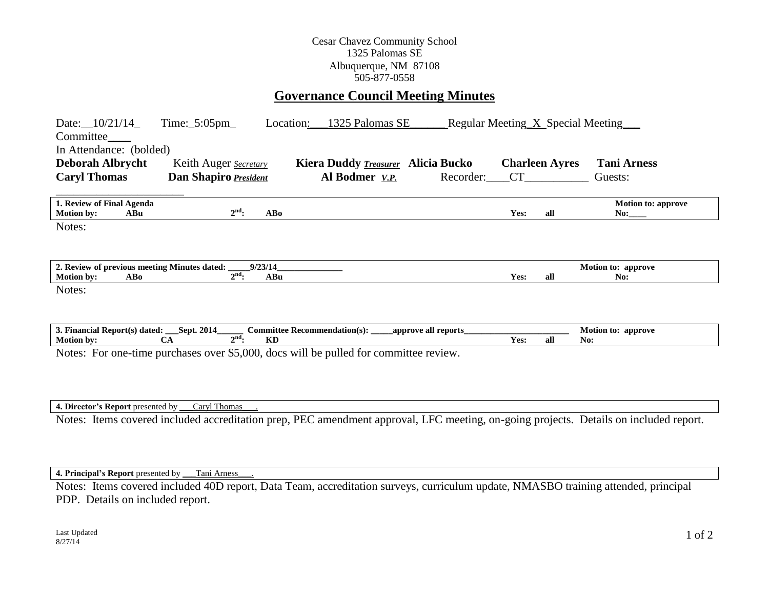## Cesar Chavez Community School 1325 Palomas SE Albuquerque, NM 87108 505-877-0558

## **Governance Council Meeting Minutes**

| Date: $10/21/14$<br>Committee<br>In Attendance: (bolded)<br><b>Deborah Albrycht</b><br><b>Caryl Thomas</b> | $Time:$ 5:05pm<br>Keith Auger Secretary<br>Dan Shapiro President | Location:                           | 1325 Palomas SE<br><b>Kiera Duddy Treasurer</b><br>Al Bodmer V.P. | <b>Alicia Bucko</b><br>Recorder: CT |      | <b>Charleen Ayres</b> | Regular Meeting X Special Meeting<br><b>Tani Arness</b><br>Guests: |
|------------------------------------------------------------------------------------------------------------|------------------------------------------------------------------|-------------------------------------|-------------------------------------------------------------------|-------------------------------------|------|-----------------------|--------------------------------------------------------------------|
| 1. Review of Final Agenda<br><b>Motion by:</b><br>ABu                                                      | $2^{\text{nd}}$ :                                                | <b>ABo</b>                          |                                                                   |                                     | Yes: | all                   | <b>Motion to: approve</b><br>No:                                   |
| Notes:                                                                                                     |                                                                  |                                     |                                                                   |                                     |      |                       |                                                                    |
|                                                                                                            |                                                                  |                                     |                                                                   |                                     |      |                       |                                                                    |
| 2. Review of previous meeting Minutes dated:                                                               |                                                                  | 9/23/14                             |                                                                   |                                     |      |                       | Motion to: approve                                                 |
| AB0<br><b>Motion by:</b>                                                                                   | $2nd$ :                                                          | ABu                                 |                                                                   |                                     | Yes: | all                   | No:                                                                |
| Notes:                                                                                                     |                                                                  |                                     |                                                                   |                                     |      |                       |                                                                    |
| 3. Financial Report(s) dated: ___Sept. 2014_                                                               |                                                                  | <b>Committee Recommendation(s):</b> |                                                                   | approve all reports                 |      |                       | Motion to: approve                                                 |
| <b>Motion by:</b>                                                                                          | $2nd$ :<br><b>CA</b>                                             | <b>KD</b>                           |                                                                   |                                     | Yes: | all                   | No:                                                                |
| Notes: For one-time purchases over \$5,000, docs will be pulled for committee review.                      |                                                                  |                                     |                                                                   |                                     |      |                       |                                                                    |

**4. Director's Report** presented by \_\_\_Caryl Thomas\_\_\_.

Notes: Items covered included accreditation prep, PEC amendment approval, LFC meeting, on-going projects. Details on included report.

**4. Principal's Report** presented by \_\_\_Tani Arness\_\_\_.

Notes: Items covered included 40D report, Data Team, accreditation surveys, curriculum update, NMASBO training attended, principal PDP. Details on included report.